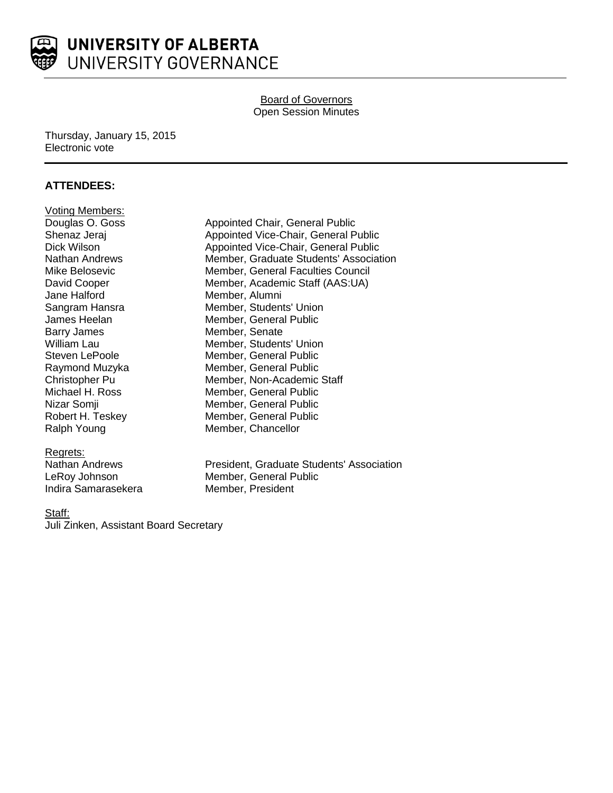

# Board of Governors Open Session Minutes

### Thursday, January 15, 2015 Electronic vote

# **ATTENDEES:**

| <b>Voting Members:</b> |
|------------------------|
| Douglas O. Goss        |
| Shenaz Jeraj           |
| Dick Wilson            |
| <b>Nathan Andrews</b>  |
| Mike Belosevic         |
| David Cooper           |
| Jane Halford           |
| Sangram Hansra         |
| James Heelan           |
| <b>Barry James</b>     |
| William Lau            |
| <b>Steven LePoole</b>  |
| Raymond Muzyka         |
| Christopher Pu         |
| Michael H. Ross        |
| Nizar Somji            |
| Robert H. Teskey       |
| Ralph Young            |

### Regrets:

Indira Samarasekera Member, President

Appointed Chair, General Public Appointed Vice-Chair, General Public Appointed Vice-Chair, General Public Member, Graduate Students' Association Member, General Faculties Council Member, Academic Staff (AAS:UA) Member, Alumni Member, Students' Union Member, General Public Member, Senate Member, Students' Union Member, General Public Member, General Public Member, Non-Academic Staff Member, General Public Member, General Public Member, General Public Member, Chancellor

Nathan Andrews President, Graduate Students' Association LeRoy Johnson Member, General Public

### Staff:

Juli Zinken, Assistant Board Secretary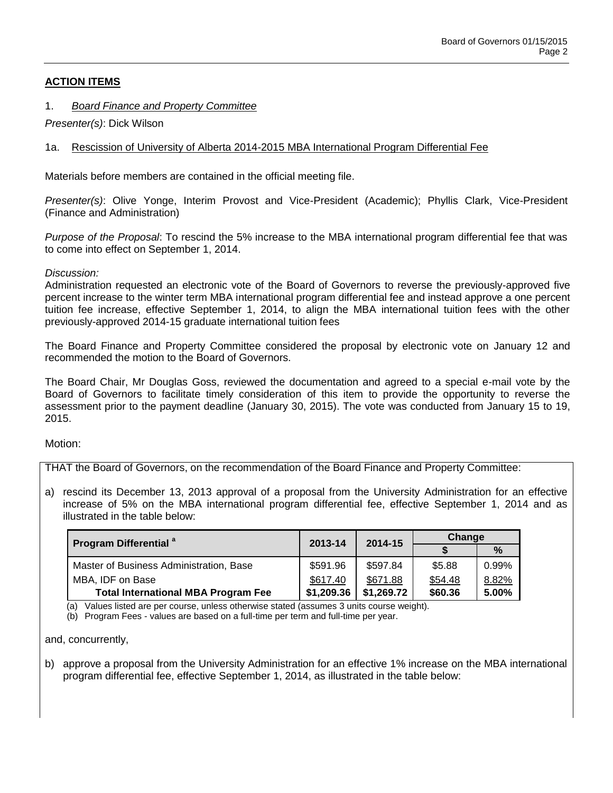# **ACTION ITEMS**

# 1. *Board Finance and Property Committee*

*Presenter(s)*: Dick Wilson

# 1a. Rescission of University of Alberta 2014-2015 MBA International Program Differential Fee

Materials before members are contained in the official meeting file.

*Presenter(s)*: Olive Yonge, Interim Provost and Vice-President (Academic); Phyllis Clark, Vice-President (Finance and Administration)

*Purpose of the Proposal*: To rescind the 5% increase to the MBA international program differential fee that was to come into effect on September 1, 2014.

## *Discussion:*

Administration requested an electronic vote of the Board of Governors to reverse the previously-approved five percent increase to the winter term MBA international program differential fee and instead approve a one percent tuition fee increase, effective September 1, 2014, to align the MBA international tuition fees with the other previously-approved 2014-15 graduate international tuition fees

The Board Finance and Property Committee considered the proposal by electronic vote on January 12 and recommended the motion to the Board of Governors.

The Board Chair, Mr Douglas Goss, reviewed the documentation and agreed to a special e-mail vote by the Board of Governors to facilitate timely consideration of this item to provide the opportunity to reverse the assessment prior to the payment deadline (January 30, 2015). The vote was conducted from January 15 to 19, 2015.

Motion:

THAT the Board of Governors, on the recommendation of the Board Finance and Property Committee:

a) rescind its December 13, 2013 approval of a proposal from the University Administration for an effective increase of 5% on the MBA international program differential fee, effective September 1, 2014 and as illustrated in the table below:

| <b>Program Differential</b> <sup>a</sup>   | 2013-14    | 2014-15    | Change  |       |
|--------------------------------------------|------------|------------|---------|-------|
|                                            |            |            |         |       |
| Master of Business Administration, Base    | \$591.96   | \$597.84   | \$5.88  | 0.99% |
| MBA, IDF on Base                           | \$617.40   | \$671.88   | \$54.48 | 8.82% |
| <b>Total International MBA Program Fee</b> | \$1,209.36 | \$1,269.72 | \$60.36 | 5.00% |

(a) Values listed are per course, unless otherwise stated (assumes 3 units course weight).

(b) Program Fees - values are based on a full-time per term and full-time per year.

and, concurrently,

b) approve a proposal from the University Administration for an effective 1% increase on the MBA international program differential fee, effective September 1, 2014, as illustrated in the table below: